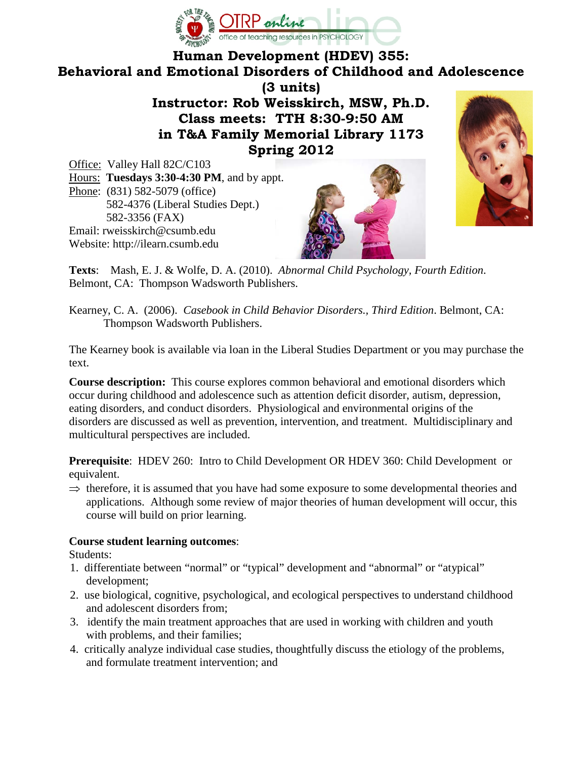

#### **Human Development (HDEV) 355: Behavioral and Emotional Disorders of Childhood and Adolescence**

**(3 units)**

**Instructor: Rob Weisskirch, MSW, Ph.D. Class meets: TTH 8:30-9:50 AM in T&A Family Memorial Library 1173 Spring 2012**

Office: Valley Hall 82C/C103 Hours: **Tuesdays 3:30-4:30 PM**, and by appt. Phone: (831) 582-5079 (office) 582-4376 (Liberal Studies Dept.) 582-3356 (FAX) Email: rweisskirch@csumb.edu Website: http://ilearn.csumb.edu





**Texts**: Mash, E. J. & Wolfe, D. A. (2010). *Abnormal Child Psychology, Fourth Edition*. Belmont, CA: Thompson Wadsworth Publishers.

Kearney, C. A. (2006). *Casebook in Child Behavior Disorders., Third Edition*. Belmont, CA: Thompson Wadsworth Publishers.

The Kearney book is available via loan in the Liberal Studies Department or you may purchase the text.

**Course description:** This course explores common behavioral and emotional disorders which occur during childhood and adolescence such as attention deficit disorder, autism, depression, eating disorders, and conduct disorders. Physiological and environmental origins of the disorders are discussed as well as prevention, intervention, and treatment. Multidisciplinary and multicultural perspectives are included.

**Prerequisite**: HDEV 260: Intro to Child Development OR HDEV 360: Child Development or equivalent.

 $\Rightarrow$  therefore, it is assumed that you have had some exposure to some developmental theories and applications. Although some review of major theories of human development will occur, this course will build on prior learning.

#### **Course student learning outcomes**:

Students:

- 1. differentiate between "normal" or "typical" development and "abnormal" or "atypical" development;
- 2. use biological, cognitive, psychological, and ecological perspectives to understand childhood and adolescent disorders from;
- 3. identify the main treatment approaches that are used in working with children and youth with problems, and their families;
- 4. critically analyze individual case studies, thoughtfully discuss the etiology of the problems, and formulate treatment intervention; and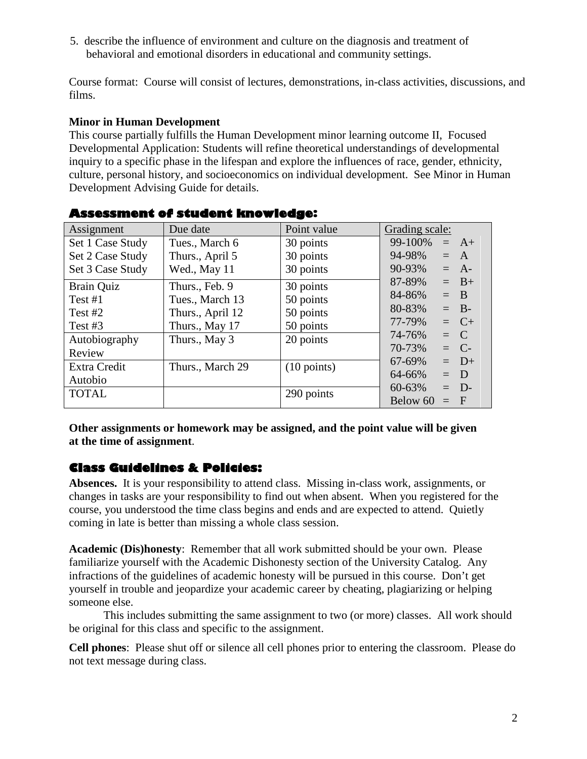5. describe the influence of environment and culture on the diagnosis and treatment of behavioral and emotional disorders in educational and community settings.

Course format: Course will consist of lectures, demonstrations, in-class activities, discussions, and films.

#### **Minor in Human Development**

This course partially fulfills the Human Development minor learning outcome II, Focused Developmental Application: Students will refine theoretical understandings of developmental inquiry to a specific phase in the lifespan and explore the influences of race, gender, ethnicity, culture, personal history, and socioeconomics on individual development. See Minor in Human Development Advising Guide for details.

| Assignment       | Due date         | Point value           | Grading scale:     |
|------------------|------------------|-----------------------|--------------------|
| Set 1 Case Study | Tues., March 6   | 30 points             | 99-100%<br>$= A +$ |
| Set 2 Case Study | Thurs., April 5  | 30 points             | 94-98%<br>$= A$    |
| Set 3 Case Study | Wed., May 11     | 30 points             | 90-93%<br>$= A$ -  |
| Brain Quiz       | Thurs., Feb. 9   | 30 points             | $= B+$<br>87-89%   |
| Test $#1$        | Tues., March 13  | 50 points             | 84-86%<br>$=$ B    |
| Test $#2$        | Thurs., April 12 | 50 points             | 80-83%<br>$=$ B-   |
| Test #3          | Thurs., May 17   | 50 points             | $= C+$<br>77-79%   |
| Autobiography    | Thurs., May 3    | 20 points             | 74-76%<br>$= C$    |
| Review           |                  |                       | 70-73%<br>$=$ C-   |
| Extra Credit     | Thurs., March 29 | $(10 \text{ points})$ | $= D+$<br>67-69%   |
| Autobio          |                  |                       | $= D$<br>64-66%    |
| <b>TOTAL</b>     |                  | 290 points            | $=$ D-<br>60-63%   |
|                  |                  |                       | Below 60<br>$=$ F  |

#### **Assessment of student knowledge:**

**Other assignments or homework may be assigned, and the point value will be given at the time of assignment**.

#### **Class Guidelines & Policies:**

**Absences.** It is your responsibility to attend class. Missing in-class work, assignments, or changes in tasks are your responsibility to find out when absent. When you registered for the course, you understood the time class begins and ends and are expected to attend. Quietly coming in late is better than missing a whole class session.

**Academic (Dis)honesty**: Remember that all work submitted should be your own. Please familiarize yourself with the Academic Dishonesty section of the University Catalog. Any infractions of the guidelines of academic honesty will be pursued in this course. Don't get yourself in trouble and jeopardize your academic career by cheating, plagiarizing or helping someone else.

This includes submitting the same assignment to two (or more) classes. All work should be original for this class and specific to the assignment.

**Cell phones**: Please shut off or silence all cell phones prior to entering the classroom. Please do not text message during class.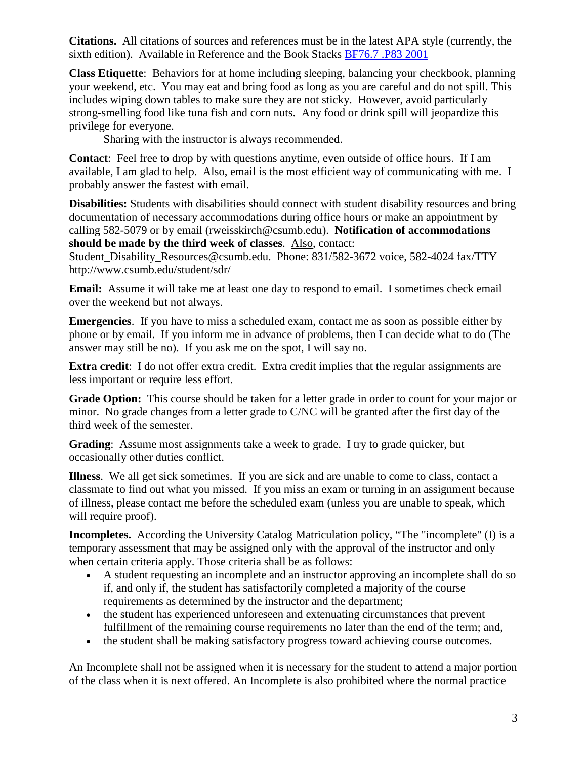**Citations.** All citations of sources and references must be in the latest APA style (currently, the sixth edition). Available in Reference and the Book Stacks [BF76.7 .P83 2001](http://voyager.csumb.edu/cgi-bin/Pwebrecon.cgi?SC=CallNumber&SEQ=20070110142059&PID=0o9xCpYNMmKue6Pr52i4H8TNhA8&SA=BF76.7+.P83+2001)

**Class Etiquette**: Behaviors for at home including sleeping, balancing your checkbook, planning your weekend, etc. You may eat and bring food as long as you are careful and do not spill. This includes wiping down tables to make sure they are not sticky. However, avoid particularly strong-smelling food like tuna fish and corn nuts. Any food or drink spill will jeopardize this privilege for everyone.

Sharing with the instructor is always recommended.

**Contact**: Feel free to drop by with questions anytime, even outside of office hours. If I am available, I am glad to help. Also, email is the most efficient way of communicating with me. I probably answer the fastest with email.

**Disabilities:** Students with disabilities should connect with student disability resources and bring documentation of necessary accommodations during office hours or make an appointment by calling 582-5079 or by email (rweisskirch@csumb.edu). **Notification of accommodations should be made by the third week of classes**. Also, contact:

Student\_Disability\_Resources@csumb.edu. Phone: 831/582-3672 voice, 582-4024 fax/TTY http://www.csumb.edu/student/sdr/

**Email:** Assume it will take me at least one day to respond to email. I sometimes check email over the weekend but not always.

**Emergencies**. If you have to miss a scheduled exam, contact me as soon as possible either by phone or by email. If you inform me in advance of problems, then I can decide what to do (The answer may still be no). If you ask me on the spot, I will say no.

**Extra credit**: I do not offer extra credit. Extra credit implies that the regular assignments are less important or require less effort.

**Grade Option:** This course should be taken for a letter grade in order to count for your major or minor. No grade changes from a letter grade to C/NC will be granted after the first day of the third week of the semester.

**Grading**: Assume most assignments take a week to grade. I try to grade quicker, but occasionally other duties conflict.

**Illness**. We all get sick sometimes. If you are sick and are unable to come to class, contact a classmate to find out what you missed. If you miss an exam or turning in an assignment because of illness, please contact me before the scheduled exam (unless you are unable to speak, which will require proof).

**Incompletes.** According the University Catalog Matriculation policy, "The "incomplete" (I) is a temporary assessment that may be assigned only with the approval of the instructor and only when certain criteria apply. Those criteria shall be as follows:

- A student requesting an incomplete and an instructor approving an incomplete shall do so if, and only if, the student has satisfactorily completed a majority of the course requirements as determined by the instructor and the department;
- the student has experienced unforeseen and extenuating circumstances that prevent fulfillment of the remaining course requirements no later than the end of the term; and,
- the student shall be making satisfactory progress toward achieving course outcomes.

An Incomplete shall not be assigned when it is necessary for the student to attend a major portion of the class when it is next offered. An Incomplete is also prohibited where the normal practice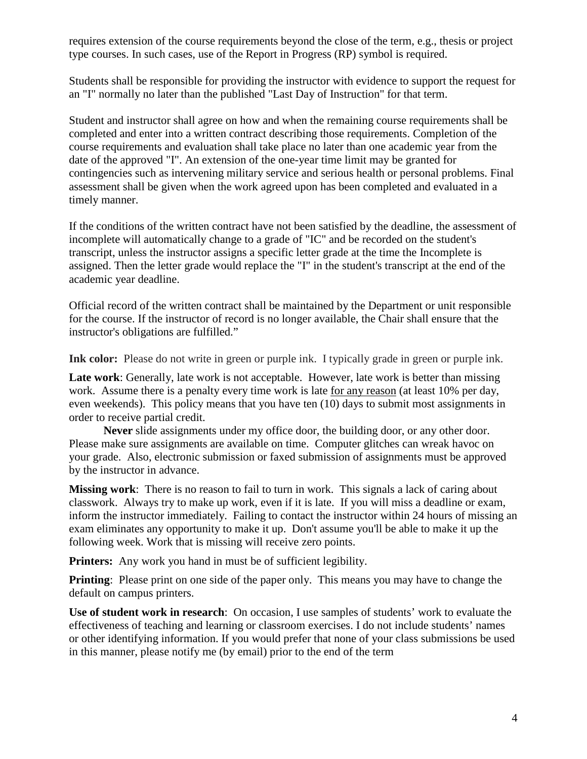requires extension of the course requirements beyond the close of the term, e.g., thesis or project type courses. In such cases, use of the Report in Progress (RP) symbol is required.

Students shall be responsible for providing the instructor with evidence to support the request for an "I" normally no later than the published "Last Day of Instruction" for that term.

Student and instructor shall agree on how and when the remaining course requirements shall be completed and enter into a written contract describing those requirements. Completion of the course requirements and evaluation shall take place no later than one academic year from the date of the approved "I". An extension of the one-year time limit may be granted for contingencies such as intervening military service and serious health or personal problems. Final assessment shall be given when the work agreed upon has been completed and evaluated in a timely manner.

If the conditions of the written contract have not been satisfied by the deadline, the assessment of incomplete will automatically change to a grade of "IC" and be recorded on the student's transcript, unless the instructor assigns a specific letter grade at the time the Incomplete is assigned. Then the letter grade would replace the "I" in the student's transcript at the end of the academic year deadline.

Official record of the written contract shall be maintained by the Department or unit responsible for the course. If the instructor of record is no longer available, the Chair shall ensure that the instructor's obligations are fulfilled."

Ink color: Please do not write in green or purple ink. I typically grade in green or purple ink.

**Late work**: Generally, late work is not acceptable. However, late work is better than missing work. Assume there is a penalty every time work is late for any reason (at least 10% per day, even weekends). This policy means that you have ten (10) days to submit most assignments in order to receive partial credit.

**Never** slide assignments under my office door, the building door, or any other door. Please make sure assignments are available on time. Computer glitches can wreak havoc on your grade. Also, electronic submission or faxed submission of assignments must be approved by the instructor in advance.

**Missing work**: There is no reason to fail to turn in work. This signals a lack of caring about classwork. Always try to make up work, even if it is late. If you will miss a deadline or exam, inform the instructor immediately. Failing to contact the instructor within 24 hours of missing an exam eliminates any opportunity to make it up. Don't assume you'll be able to make it up the following week. Work that is missing will receive zero points.

**Printers:** Any work you hand in must be of sufficient legibility.

**Printing**: Please print on one side of the paper only. This means you may have to change the default on campus printers.

**Use of student work in research**: On occasion, I use samples of students' work to evaluate the effectiveness of teaching and learning or classroom exercises. I do not include students' names or other identifying information. If you would prefer that none of your class submissions be used in this manner, please notify me (by email) prior to the end of the term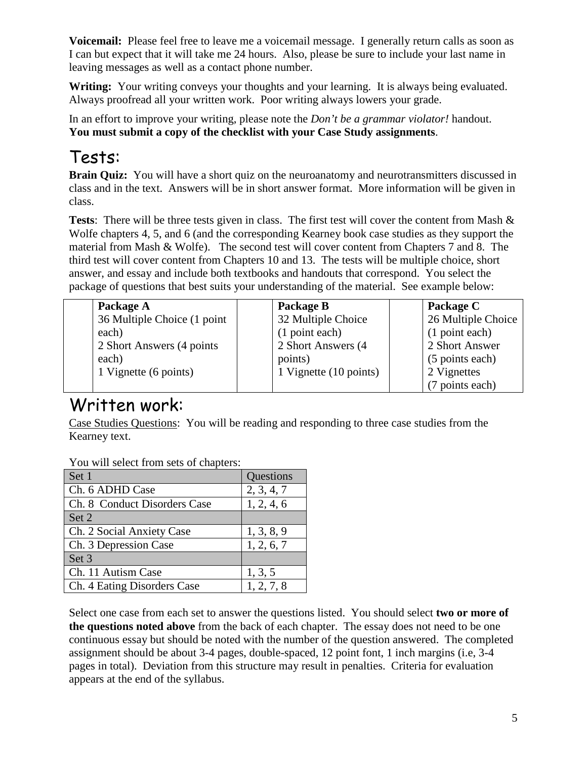**Voicemail:** Please feel free to leave me a voicemail message. I generally return calls as soon as I can but expect that it will take me 24 hours. Also, please be sure to include your last name in leaving messages as well as a contact phone number.

Writing: Your writing conveys your thoughts and your learning. It is always being evaluated. Always proofread all your written work. Poor writing always lowers your grade.

In an effort to improve your writing, please note the *Don't be a grammar violator!* handout. **You must submit a copy of the checklist with your Case Study assignments**.

# Tests:

**Brain Quiz:** You will have a short quiz on the neuroanatomy and neurotransmitters discussed in class and in the text. Answers will be in short answer format. More information will be given in class.

**Tests**: There will be three tests given in class. The first test will cover the content from Mash & Wolfe chapters 4, 5, and 6 (and the corresponding Kearney book case studies as they support the material from Mash & Wolfe). The second test will cover content from Chapters 7 and 8. The third test will cover content from Chapters 10 and 13. The tests will be multiple choice, short answer, and essay and include both textbooks and handouts that correspond. You select the package of questions that best suits your understanding of the material. See example below:

| Package A                   | Package B              | Package C          |
|-----------------------------|------------------------|--------------------|
| 36 Multiple Choice (1 point | 32 Multiple Choice     | 26 Multiple Choice |
| each)                       | (1 point each)         | (1 point each)     |
| 2 Short Answers (4 points)  | 2 Short Answers (4)    | 2 Short Answer     |
| each)                       | points)                | (5 points each)    |
| 1 Vignette (6 points)       | 1 Vignette (10 points) | 2 Vignettes        |
|                             |                        | (7 points each)    |

# Written work:

Case Studies Questions: You will be reading and responding to three case studies from the Kearney text.

You will select from sets of chapters:

| Set 1                        | Questions  |
|------------------------------|------------|
| Ch. 6 ADHD Case              | 2, 3, 4, 7 |
| Ch. 8 Conduct Disorders Case | 1, 2, 4, 6 |
| Set 2                        |            |
| Ch. 2 Social Anxiety Case    | 1, 3, 8, 9 |
| Ch. 3 Depression Case        | 1, 2, 6, 7 |
| Set 3                        |            |
| Ch. 11 Autism Case           | 1, 3, 5    |
| Ch. 4 Eating Disorders Case  | 1, 2, 7, 8 |

Select one case from each set to answer the questions listed. You should select **two or more of the questions noted above** from the back of each chapter. The essay does not need to be one continuous essay but should be noted with the number of the question answered. The completed assignment should be about 3-4 pages, double-spaced, 12 point font, 1 inch margins (i.e, 3-4 pages in total). Deviation from this structure may result in penalties. Criteria for evaluation appears at the end of the syllabus.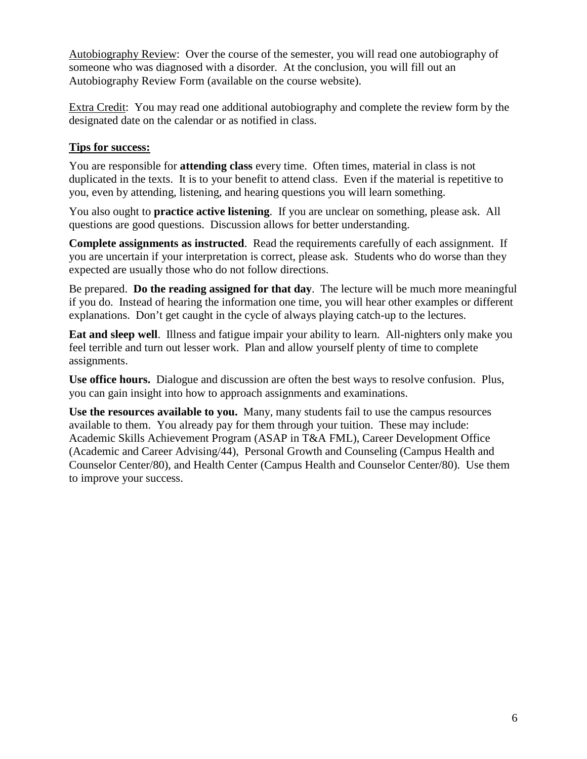Autobiography Review: Over the course of the semester, you will read one autobiography of someone who was diagnosed with a disorder. At the conclusion, you will fill out an Autobiography Review Form (available on the course website).

Extra Credit: You may read one additional autobiography and complete the review form by the designated date on the calendar or as notified in class.

#### **Tips for success:**

You are responsible for **attending class** every time. Often times, material in class is not duplicated in the texts. It is to your benefit to attend class. Even if the material is repetitive to you, even by attending, listening, and hearing questions you will learn something.

You also ought to **practice active listening**. If you are unclear on something, please ask. All questions are good questions. Discussion allows for better understanding.

**Complete assignments as instructed**. Read the requirements carefully of each assignment. If you are uncertain if your interpretation is correct, please ask. Students who do worse than they expected are usually those who do not follow directions.

Be prepared. **Do the reading assigned for that day**. The lecture will be much more meaningful if you do. Instead of hearing the information one time, you will hear other examples or different explanations. Don't get caught in the cycle of always playing catch-up to the lectures.

**Eat and sleep well**. Illness and fatigue impair your ability to learn. All-nighters only make you feel terrible and turn out lesser work. Plan and allow yourself plenty of time to complete assignments.

**Use office hours.** Dialogue and discussion are often the best ways to resolve confusion. Plus, you can gain insight into how to approach assignments and examinations.

**Use the resources available to you.** Many, many students fail to use the campus resources available to them. You already pay for them through your tuition. These may include: Academic Skills Achievement Program (ASAP in T&A FML), Career Development Office (Academic and Career Advising/44), Personal Growth and Counseling (Campus Health and Counselor Center/80), and Health Center (Campus Health and Counselor Center/80). Use them to improve your success.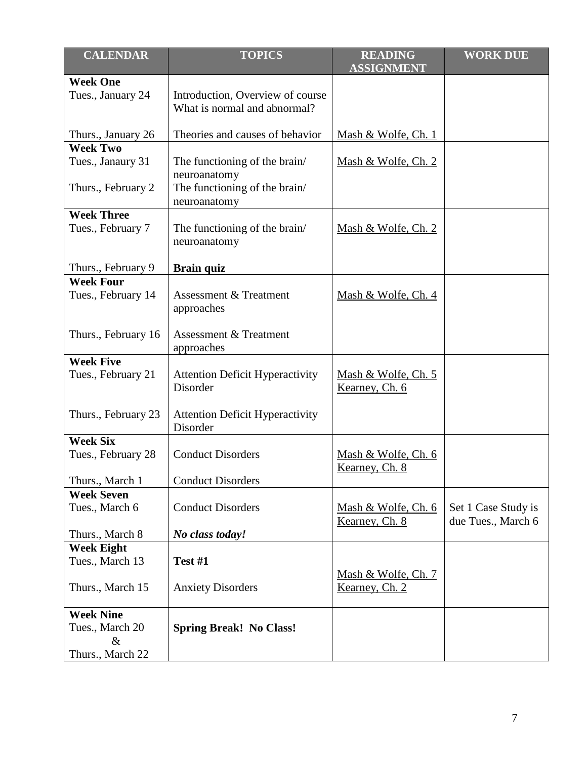| <b>CALENDAR</b>                         | <b>TOPICS</b>                                                                  | <b>READING</b><br><b>ASSIGNMENT</b>           | <b>WORK DUE</b>                           |
|-----------------------------------------|--------------------------------------------------------------------------------|-----------------------------------------------|-------------------------------------------|
| <b>Week One</b>                         |                                                                                |                                               |                                           |
| Tues., January 24                       | Introduction, Overview of course<br>What is normal and abnormal?               |                                               |                                           |
| Thurs., January 26                      | Theories and causes of behavior                                                | Mash & Wolfe, Ch. 1                           |                                           |
| <b>Week Two</b>                         |                                                                                |                                               |                                           |
| Tues., Janaury 31<br>Thurs., February 2 | The functioning of the brain/<br>neuroanatomy<br>The functioning of the brain/ | Mash & Wolfe, Ch. 2                           |                                           |
|                                         | neuroanatomy                                                                   |                                               |                                           |
| <b>Week Three</b>                       |                                                                                |                                               |                                           |
| Tues., February 7                       | The functioning of the brain/<br>neuroanatomy                                  | Mash & Wolfe, Ch. 2                           |                                           |
| Thurs., February 9                      | <b>Brain quiz</b>                                                              |                                               |                                           |
| <b>Week Four</b>                        |                                                                                |                                               |                                           |
| Tues., February 14                      | <b>Assessment &amp; Treatment</b><br>approaches                                | Mash & Wolfe, Ch. 4                           |                                           |
| Thurs., February 16                     | Assessment & Treatment<br>approaches                                           |                                               |                                           |
| <b>Week Five</b>                        |                                                                                |                                               |                                           |
| Tues., February 21                      | <b>Attention Deficit Hyperactivity</b><br>Disorder                             | Mash & Wolfe, Ch. 5<br>Kearney, Ch. 6         |                                           |
| Thurs., February 23                     | <b>Attention Deficit Hyperactivity</b><br>Disorder                             |                                               |                                           |
| <b>Week Six</b>                         |                                                                                |                                               |                                           |
| Tues., February 28                      | <b>Conduct Disorders</b>                                                       | Mash & Wolfe, Ch. 6<br>Kearney, Ch. 8         |                                           |
| Thurs., March 1                         | <b>Conduct Disorders</b>                                                       |                                               |                                           |
| <b>Week Seven</b>                       |                                                                                |                                               |                                           |
| Tues., March 6                          | <b>Conduct Disorders</b>                                                       | Mash & Wolfe, Ch. 6<br><u>Kearney</u> , Ch. 8 | Set 1 Case Study is<br>due Tues., March 6 |
| Thurs., March 8                         | No class today!                                                                |                                               |                                           |
| <b>Week Eight</b>                       |                                                                                |                                               |                                           |
| Tues., March 13                         | Test #1                                                                        |                                               |                                           |
| Thurs., March 15                        | <b>Anxiety Disorders</b>                                                       | Mash & Wolfe, Ch. 7<br>Kearney, Ch. 2         |                                           |
| <b>Week Nine</b>                        |                                                                                |                                               |                                           |
| Tues., March 20<br>$\&$                 | <b>Spring Break! No Class!</b>                                                 |                                               |                                           |
| Thurs., March 22                        |                                                                                |                                               |                                           |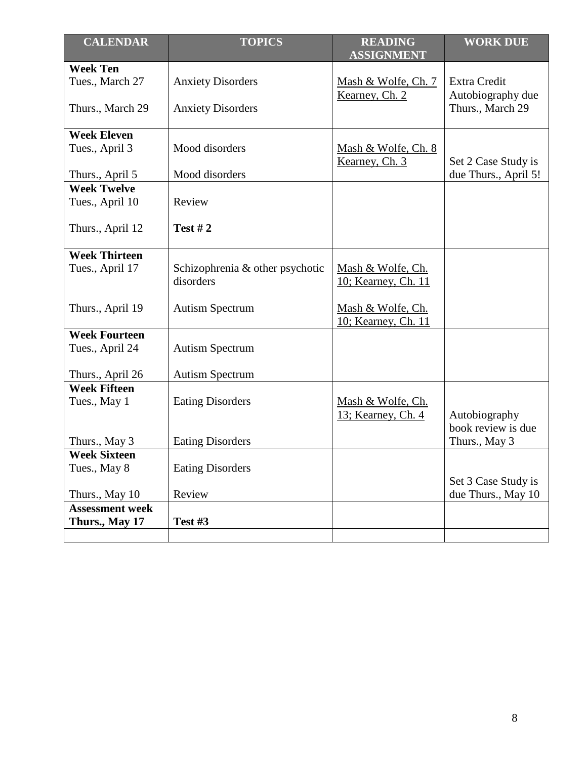| <b>CALENDAR</b>        | <b>TOPICS</b>                                | <b>READING</b><br><b>ASSIGNMENT</b>      | <b>WORK DUE</b>                           |
|------------------------|----------------------------------------------|------------------------------------------|-------------------------------------------|
| <b>Week Ten</b>        |                                              |                                          |                                           |
| Tues., March 27        | <b>Anxiety Disorders</b>                     | Mash & Wolfe, Ch. 7                      | <b>Extra Credit</b>                       |
| Thurs., March 29       | <b>Anxiety Disorders</b>                     | Kearney, Ch. 2                           | Autobiography due<br>Thurs., March 29     |
| <b>Week Eleven</b>     |                                              |                                          |                                           |
| Tues., April 3         | Mood disorders                               | Mash & Wolfe, Ch. 8<br>Kearney, Ch. 3    | Set 2 Case Study is                       |
| Thurs., April 5        | Mood disorders                               |                                          | due Thurs., April 5!                      |
| <b>Week Twelve</b>     |                                              |                                          |                                           |
| Tues., April 10        | Review                                       |                                          |                                           |
| Thurs., April 12       | <b>Test #2</b>                               |                                          |                                           |
| <b>Week Thirteen</b>   |                                              |                                          |                                           |
| Tues., April 17        | Schizophrenia & other psychotic<br>disorders | Mash & Wolfe, Ch.<br>10; Kearney, Ch. 11 |                                           |
| Thurs., April 19       | <b>Autism Spectrum</b>                       | Mash & Wolfe, Ch.<br>10; Kearney, Ch. 11 |                                           |
| <b>Week Fourteen</b>   |                                              |                                          |                                           |
| Tues., April 24        | <b>Autism Spectrum</b>                       |                                          |                                           |
| Thurs., April 26       | <b>Autism Spectrum</b>                       |                                          |                                           |
| <b>Week Fifteen</b>    |                                              |                                          |                                           |
| Tues., May 1           | <b>Eating Disorders</b>                      | Mash & Wolfe, Ch.                        |                                           |
|                        |                                              | 13; Kearney, Ch. 4                       | Autobiography                             |
|                        |                                              |                                          | book review is due                        |
| Thurs., May 3          | <b>Eating Disorders</b>                      |                                          | Thurs., May 3                             |
| <b>Week Sixteen</b>    |                                              |                                          |                                           |
| Tues., May 8           | <b>Eating Disorders</b>                      |                                          |                                           |
| Thurs., May 10         | Review                                       |                                          | Set 3 Case Study is<br>due Thurs., May 10 |
| <b>Assessment week</b> |                                              |                                          |                                           |
| Thurs., May 17         | Test #3                                      |                                          |                                           |
|                        |                                              |                                          |                                           |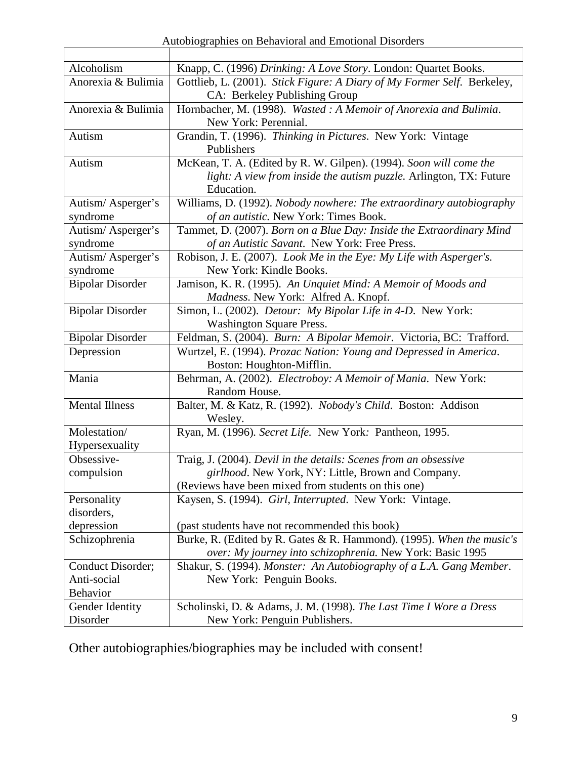Autobiographies on Behavioral and Emotional Disorders

 $\mathbf{r}$ 

| Alcoholism              | Knapp, C. (1996) Drinking: A Love Story. London: Quartet Books.         |  |
|-------------------------|-------------------------------------------------------------------------|--|
| Anorexia & Bulimia      | Gottlieb, L. (2001). Stick Figure: A Diary of My Former Self. Berkeley, |  |
|                         | CA: Berkeley Publishing Group                                           |  |
| Anorexia & Bulimia      | Hornbacher, M. (1998). Wasted: A Memoir of Anorexia and Bulimia.        |  |
|                         | New York: Perennial.                                                    |  |
| Autism                  | Grandin, T. (1996). Thinking in Pictures. New York: Vintage             |  |
|                         | Publishers                                                              |  |
| Autism                  | McKean, T. A. (Edited by R. W. Gilpen). (1994). Soon will come the      |  |
|                         | light: A view from inside the autism puzzle. Arlington, TX: Future      |  |
|                         | Education.                                                              |  |
| Autism/Asperger's       | Williams, D. (1992). Nobody nowhere: The extraordinary autobiography    |  |
| syndrome                | of an autistic. New York: Times Book.                                   |  |
| Autism/Asperger's       | Tammet, D. (2007). Born on a Blue Day: Inside the Extraordinary Mind    |  |
| syndrome                | of an Autistic Savant. New York: Free Press.                            |  |
| Autism/Asperger's       | Robison, J. E. (2007). Look Me in the Eye: My Life with Asperger's.     |  |
| syndrome                | New York: Kindle Books.                                                 |  |
| <b>Bipolar Disorder</b> | Jamison, K. R. (1995). An Unquiet Mind: A Memoir of Moods and           |  |
|                         | Madness. New York: Alfred A. Knopf.                                     |  |
| <b>Bipolar Disorder</b> | Simon, L. (2002). Detour: My Bipolar Life in 4-D. New York:             |  |
|                         | <b>Washington Square Press.</b>                                         |  |
| <b>Bipolar Disorder</b> | Feldman, S. (2004). Burn: A Bipolar Memoir. Victoria, BC: Trafford.     |  |
| Depression              | Wurtzel, E. (1994). Prozac Nation: Young and Depressed in America.      |  |
|                         | Boston: Houghton-Mifflin.                                               |  |
| Mania                   | Behrman, A. (2002). Electroboy: A Memoir of Mania. New York:            |  |
| <b>Mental Illness</b>   | Random House.                                                           |  |
|                         | Balter, M. & Katz, R. (1992). Nobody's Child. Boston: Addison           |  |
| Molestation/            | Wesley.<br>Ryan, M. (1996). Secret Life. New York: Pantheon, 1995.      |  |
| Hypersexuality          |                                                                         |  |
| Obsessive-              | Traig, J. (2004). Devil in the details: Scenes from an obsessive        |  |
| compulsion              | girlhood. New York, NY: Little, Brown and Company.                      |  |
|                         | (Reviews have been mixed from students on this one)                     |  |
| Personality             | Kaysen, S. (1994). Girl, Interrupted. New York: Vintage.                |  |
| disorders,              |                                                                         |  |
| depression              | (past students have not recommended this book)                          |  |
| Schizophrenia           | Burke, R. (Edited by R. Gates & R. Hammond). (1995). When the music's   |  |
|                         | over: My journey into schizophrenia. New York: Basic 1995               |  |
| Conduct Disorder;       | Shakur, S. (1994). Monster: An Autobiography of a L.A. Gang Member.     |  |
| Anti-social             | New York: Penguin Books.                                                |  |
| Behavior                |                                                                         |  |
| Gender Identity         | Scholinski, D. & Adams, J. M. (1998). The Last Time I Wore a Dress      |  |
| Disorder                | New York: Penguin Publishers.                                           |  |

Other autobiographies/biographies may be included with consent!

h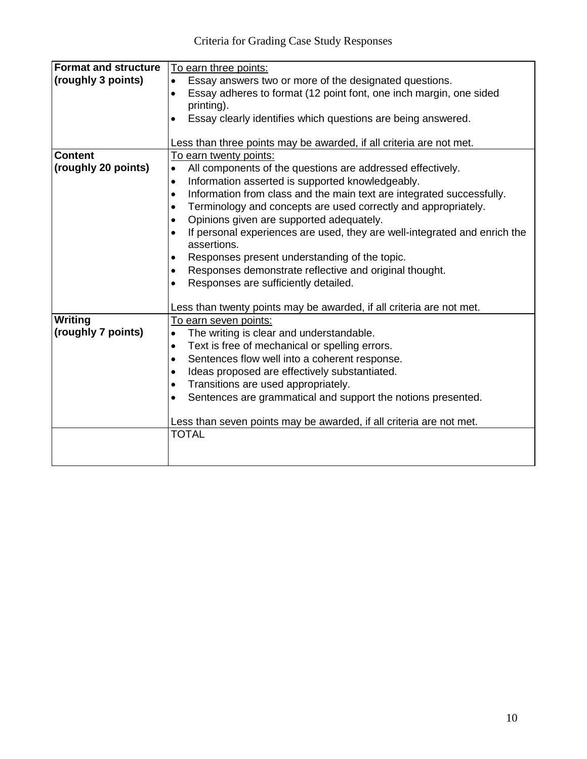| <b>Format and structure</b> | To earn three points:                                                              |  |
|-----------------------------|------------------------------------------------------------------------------------|--|
| (roughly 3 points)          | Essay answers two or more of the designated questions.                             |  |
|                             | Essay adheres to format (12 point font, one inch margin, one sided<br>$\bullet$    |  |
|                             | printing).                                                                         |  |
|                             | Essay clearly identifies which questions are being answered.                       |  |
|                             |                                                                                    |  |
|                             | Less than three points may be awarded, if all criteria are not met.                |  |
| <b>Content</b>              | To earn twenty points:                                                             |  |
| (roughly 20 points)         | All components of the questions are addressed effectively.<br>$\bullet$            |  |
|                             | Information asserted is supported knowledgeably.<br>$\bullet$                      |  |
|                             | Information from class and the main text are integrated successfully.<br>$\bullet$ |  |
|                             | Terminology and concepts are used correctly and appropriately.<br>$\bullet$        |  |
|                             | Opinions given are supported adequately.                                           |  |
|                             | If personal experiences are used, they are well-integrated and enrich the          |  |
|                             | assertions.                                                                        |  |
|                             | Responses present understanding of the topic.                                      |  |
|                             | Responses demonstrate reflective and original thought.<br>٠                        |  |
|                             | Responses are sufficiently detailed.<br>$\bullet$                                  |  |
|                             |                                                                                    |  |
|                             | Less than twenty points may be awarded, if all criteria are not met.               |  |
| Writing                     | To earn seven points:                                                              |  |
| (roughly 7 points)          | The writing is clear and understandable.<br>$\bullet$                              |  |
|                             | Text is free of mechanical or spelling errors.<br>٠                                |  |
|                             | Sentences flow well into a coherent response.<br>$\bullet$                         |  |
|                             | Ideas proposed are effectively substantiated.                                      |  |
|                             | Transitions are used appropriately.<br>$\bullet$                                   |  |
|                             | Sentences are grammatical and support the notions presented.<br>$\bullet$          |  |
|                             |                                                                                    |  |
|                             | Less than seven points may be awarded, if all criteria are not met.                |  |
|                             | <b>TOTAL</b>                                                                       |  |
|                             |                                                                                    |  |
|                             |                                                                                    |  |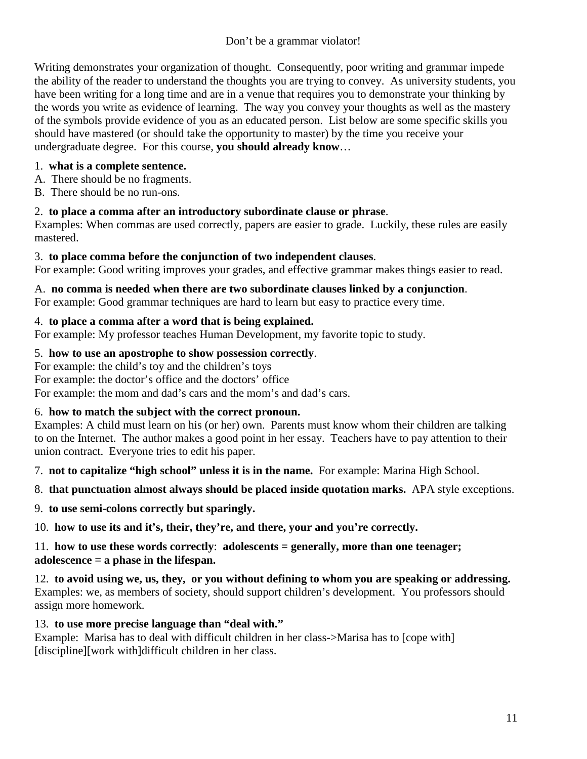Writing demonstrates your organization of thought. Consequently, poor writing and grammar impede the ability of the reader to understand the thoughts you are trying to convey. As university students, you have been writing for a long time and are in a venue that requires you to demonstrate your thinking by the words you write as evidence of learning. The way you convey your thoughts as well as the mastery of the symbols provide evidence of you as an educated person. List below are some specific skills you should have mastered (or should take the opportunity to master) by the time you receive your undergraduate degree. For this course, **you should already know**…

#### 1. **what is a complete sentence.**

- A. There should be no fragments.
- B. There should be no run-ons.

# 2. **to place a comma after an introductory subordinate clause or phrase**.

Examples: When commas are used correctly, papers are easier to grade. Luckily, these rules are easily mastered.

# 3. **to place comma before the conjunction of two independent clauses**.

For example: Good writing improves your grades, and effective grammar makes things easier to read.

# A. **no comma is needed when there are two subordinate clauses linked by a conjunction**.

For example: Good grammar techniques are hard to learn but easy to practice every time.

# 4. **to place a comma after a word that is being explained.**

For example: My professor teaches Human Development, my favorite topic to study.

# 5. **how to use an apostrophe to show possession correctly**.

For example: the child's toy and the children's toys

For example: the doctor's office and the doctors' office

For example: the mom and dad's cars and the mom's and dad's cars.

# 6. **how to match the subject with the correct pronoun.**

Examples: A child must learn on his (or her) own. Parents must know whom their children are talking to on the Internet. The author makes a good point in her essay. Teachers have to pay attention to their union contract. Everyone tries to edit his paper.

7. **not to capitalize "high school" unless it is in the name.** For example: Marina High School.

# 8. **that punctuation almost always should be placed inside quotation marks.** APA style exceptions.

9. **to use semi-colons correctly but sparingly.**

10. **how to use its and it's, their, they're, and there, your and you're correctly.**

# 11. **how to use these words correctly**: **adolescents = generally, more than one teenager; adolescence = a phase in the lifespan.**

12. **to avoid using we, us, they, or you without defining to whom you are speaking or addressing.** Examples: we, as members of society, should support children's development. You professors should assign more homework.

# 13. **to use more precise language than "deal with."**

Example: Marisa has to deal with difficult children in her class->Marisa has to [cope with] [discipline][work with]difficult children in her class.